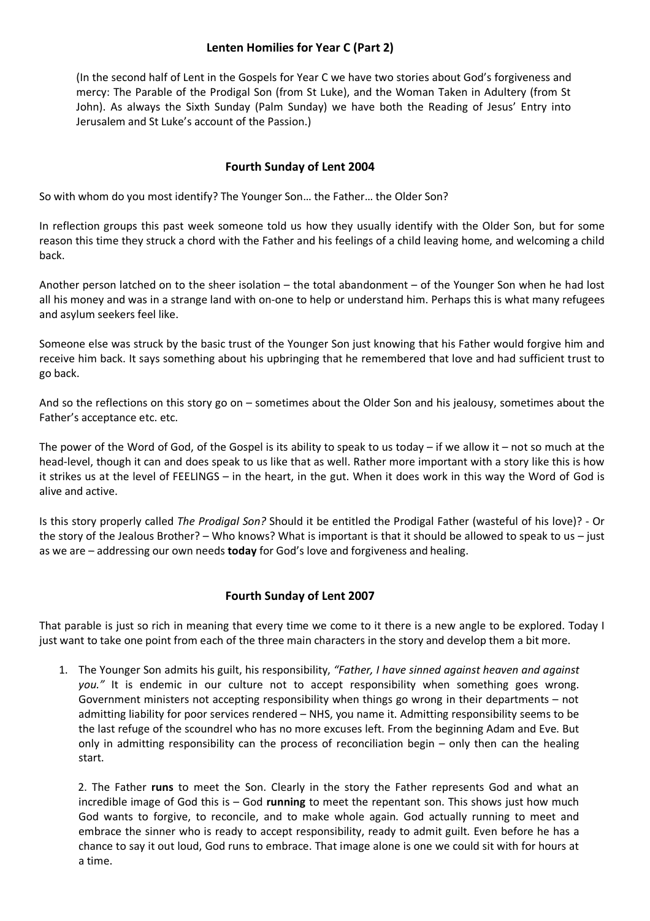## **Lenten Homilies for Year C (Part 2)**

(In the second half of Lent in the Gospels for Year C we have two stories about God's forgiveness and mercy: The Parable of the Prodigal Son (from St Luke), and the Woman Taken in Adultery (from St John). As always the Sixth Sunday (Palm Sunday) we have both the Reading of Jesus' Entry into Jerusalem and St Luke's account of the Passion.)

## **Fourth Sunday of Lent 2004**

So with whom do you most identify? The Younger Son… the Father… the Older Son?

In reflection groups this past week someone told us how they usually identify with the Older Son, but for some reason this time they struck a chord with the Father and his feelings of a child leaving home, and welcoming a child back.

Another person latched on to the sheer isolation – the total abandonment – of the Younger Son when he had lost all his money and was in a strange land with on-one to help or understand him. Perhaps this is what many refugees and asylum seekers feel like.

Someone else was struck by the basic trust of the Younger Son just knowing that his Father would forgive him and receive him back. It says something about his upbringing that he remembered that love and had sufficient trust to go back.

And so the reflections on this story go on – sometimes about the Older Son and his jealousy, sometimes about the Father's acceptance etc. etc.

The power of the Word of God, of the Gospel is its ability to speak to us today – if we allow it – not so much at the head-level, though it can and does speak to us like that as well. Rather more important with a story like this is how it strikes us at the level of FEELINGS – in the heart, in the gut. When it does work in this way the Word of God is alive and active.

Is this story properly called *The Prodigal Son?* Should it be entitled the Prodigal Father (wasteful of his love)? - Or the story of the Jealous Brother? – Who knows? What is important is that it should be allowed to speak to us – just as we are – addressing our own needs **today** for God's love and forgiveness and healing.

#### **Fourth Sunday of Lent 2007**

That parable is just so rich in meaning that every time we come to it there is a new angle to be explored. Today I just want to take one point from each of the three main characters in the story and develop them a bit more.

1. The Younger Son admits his guilt, his responsibility, *"Father, I have sinned against heaven and against*  you." It is endemic in our culture not to accept responsibility when something goes wrong. Government ministers not accepting responsibility when things go wrong in their departments – not admitting liability for poor services rendered – NHS, you name it. Admitting responsibility seems to be the last refuge of the scoundrel who has no more excuses left. From the beginning Adam and Eve. But only in admitting responsibility can the process of reconciliation begin – only then can the healing start.

2. The Father **runs** to meet the Son. Clearly in the story the Father represents God and what an incredible image of God this is – God **running** to meet the repentant son. This shows just how much God wants to forgive, to reconcile, and to make whole again. God actually running to meet and embrace the sinner who is ready to accept responsibility, ready to admit guilt. Even before he has a chance to say it out loud, God runs to embrace. That image alone is one we could sit with for hours at a time.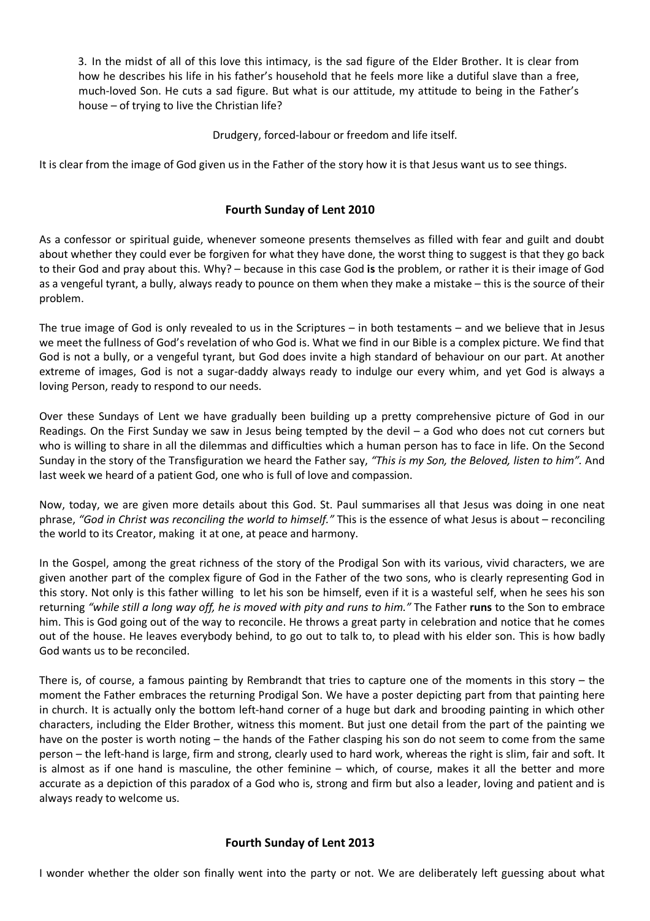3. In the midst of all of this love this intimacy, is the sad figure of the Elder Brother. It is clear from how he describes his life in his father's household that he feels more like a dutiful slave than a free, much-loved Son. He cuts a sad figure. But what is our attitude, my attitude to being in the Father's house – of trying to live the Christian life?

Drudgery, forced-labour or freedom and life itself.

It is clear from the image of God given us in the Father of the story how it is that Jesus want us to see things.

## **Fourth Sunday of Lent 2010**

As a confessor or spiritual guide, whenever someone presents themselves as filled with fear and guilt and doubt about whether they could ever be forgiven for what they have done, the worst thing to suggest is that they go back to their God and pray about this. Why? – because in this case God **is** the problem, or rather it is their image of God as a vengeful tyrant, a bully, always ready to pounce on them when they make a mistake – this is the source of their problem.

The true image of God is only revealed to us in the Scriptures – in both testaments – and we believe that in Jesus we meet the fullness of God's revelation of who God is. What we find in our Bible is a complex picture. We find that God is not a bully, or a vengeful tyrant, but God does invite a high standard of behaviour on our part. At another extreme of images, God is not a sugar-daddy always ready to indulge our every whim, and yet God is always a loving Person, ready to respond to our needs.

Over these Sundays of Lent we have gradually been building up a pretty comprehensive picture of God in our Readings. On the First Sunday we saw in Jesus being tempted by the devil – a God who does not cut corners but who is willing to share in all the dilemmas and difficulties which a human person has to face in life. On the Second Sunday in the story of the Transfiguration we heard the Father say, *"This is my Son, the Beloved, listen to him".* And last week we heard of a patient God, one who is full of love and compassion.

Now, today, we are given more details about this God. St. Paul summarises all that Jesus was doing in one neat phrase, *"God in Christ was reconciling the world to himself."* This is the essence of what Jesus is about – reconciling the world to its Creator, making it at one, at peace and harmony.

In the Gospel, among the great richness of the story of the Prodigal Son with its various, vivid characters, we are given another part of the complex figure of God in the Father of the two sons, who is clearly representing God in this story. Not only is this father willing to let his son be himself, even if it is a wasteful self, when he sees his son returning *"while still a long way off, he is moved with pity and runs to him."* The Father **runs** to the Son to embrace him. This is God going out of the way to reconcile. He throws a great party in celebration and notice that he comes out of the house. He leaves everybody behind, to go out to talk to, to plead with his elder son. This is how badly God wants us to be reconciled.

There is, of course, a famous painting by Rembrandt that tries to capture one of the moments in this story – the moment the Father embraces the returning Prodigal Son. We have a poster depicting part from that painting here in church. It is actually only the bottom left-hand corner of a huge but dark and brooding painting in which other characters, including the Elder Brother, witness this moment. But just one detail from the part of the painting we have on the poster is worth noting – the hands of the Father clasping his son do not seem to come from the same person – the left-hand is large, firm and strong, clearly used to hard work, whereas the right is slim, fair and soft. It is almost as if one hand is masculine, the other feminine – which, of course, makes it all the better and more accurate as a depiction of this paradox of a God who is, strong and firm but also a leader, loving and patient and is always ready to welcome us.

## **Fourth Sunday of Lent 2013**

I wonder whether the older son finally went into the party or not. We are deliberately left guessing about what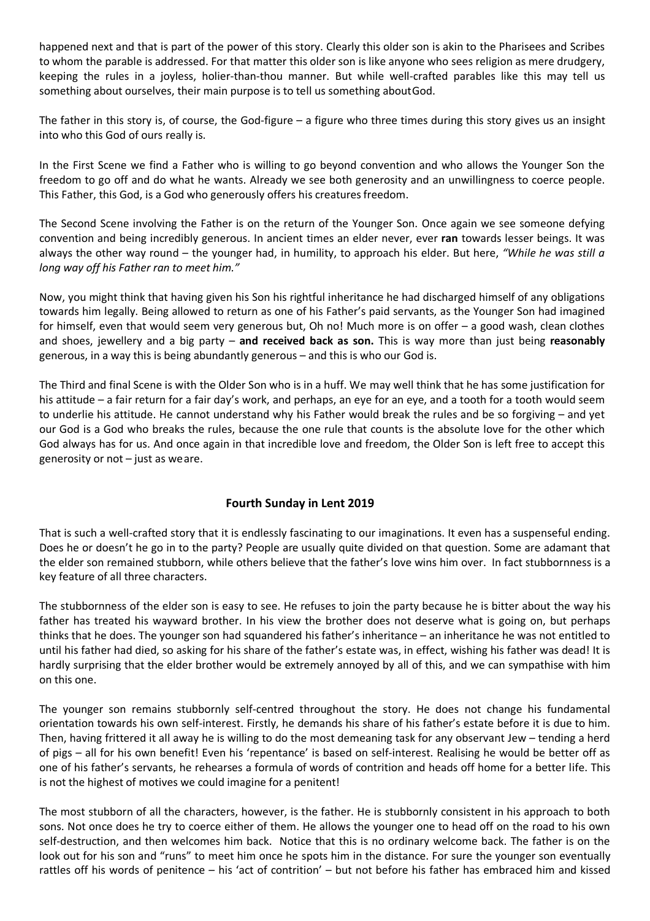happened next and that is part of the power of this story. Clearly this older son is akin to the Pharisees and Scribes to whom the parable is addressed. For that matter this older son is like anyone who sees religion as mere drudgery, keeping the rules in a joyless, holier-than-thou manner. But while well-crafted parables like this may tell us something about ourselves, their main purpose is to tell us something aboutGod.

The father in this story is, of course, the God-figure – a figure who three times during this story gives us an insight into who this God of ours really is.

In the First Scene we find a Father who is willing to go beyond convention and who allows the Younger Son the freedom to go off and do what he wants. Already we see both generosity and an unwillingness to coerce people. This Father, this God, is a God who generously offers his creatures freedom.

The Second Scene involving the Father is on the return of the Younger Son. Once again we see someone defying convention and being incredibly generous. In ancient times an elder never, ever **ran** towards lesser beings. It was always the other way round – the younger had, in humility, to approach his elder. But here, *"While he was still a long way off his Father ran to meet him."*

Now, you might think that having given his Son his rightful inheritance he had discharged himself of any obligations towards him legally. Being allowed to return as one of his Father's paid servants, as the Younger Son had imagined for himself, even that would seem very generous but, Oh no! Much more is on offer – a good wash, clean clothes and shoes, jewellery and a big party – **and received back as son.** This is way more than just being **reasonably**  generous, in a way this is being abundantly generous – and this is who our God is.

The Third and final Scene is with the Older Son who is in a huff. We may well think that he has some justification for his attitude – a fair return for a fair day's work, and perhaps, an eye for an eye, and a tooth for a tooth would seem to underlie his attitude. He cannot understand why his Father would break the rules and be so forgiving – and yet our God is a God who breaks the rules, because the one rule that counts is the absolute love for the other which God always has for us. And once again in that incredible love and freedom, the Older Son is left free to accept this generosity or not – just as weare.

## **Fourth Sunday in Lent 2019**

That is such a well-crafted story that it is endlessly fascinating to our imaginations. It even has a suspenseful ending. Does he or doesn't he go in to the party? People are usually quite divided on that question. Some are adamant that the elder son remained stubborn, while others believe that the father's love wins him over. In fact stubbornness is a key feature of all three characters.

The stubbornness of the elder son is easy to see. He refuses to join the party because he is bitter about the way his father has treated his wayward brother. In his view the brother does not deserve what is going on, but perhaps thinks that he does. The younger son had squandered his father's inheritance – an inheritance he was not entitled to until his father had died, so asking for his share of the father's estate was, in effect, wishing his father was dead! It is hardly surprising that the elder brother would be extremely annoyed by all of this, and we can sympathise with him on this one.

The younger son remains stubbornly self-centred throughout the story. He does not change his fundamental orientation towards his own self-interest. Firstly, he demands his share of his father's estate before it is due to him. Then, having frittered it all away he is willing to do the most demeaning task for any observant Jew – tending a herd of pigs – all for his own benefit! Even his 'repentance' is based on self-interest. Realising he would be better off as one of his father's servants, he rehearses a formula of words of contrition and heads off home for a better life. This is not the highest of motives we could imagine for a penitent!

The most stubborn of all the characters, however, is the father. He is stubbornly consistent in his approach to both sons. Not once does he try to coerce either of them. He allows the younger one to head off on the road to his own self-destruction, and then welcomes him back. Notice that this is no ordinary welcome back. The father is on the look out for his son and "runs" to meet him once he spots him in the distance. For sure the younger son eventually rattles off his words of penitence – his 'act of contrition' – but not before his father has embraced him and kissed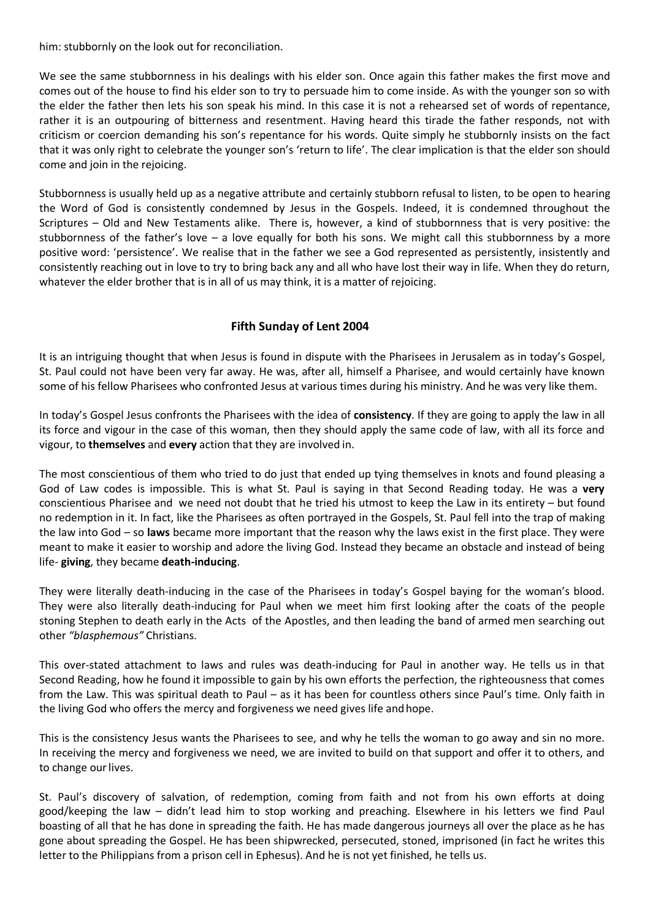him: stubbornly on the look out for reconciliation.

We see the same stubbornness in his dealings with his elder son. Once again this father makes the first move and comes out of the house to find his elder son to try to persuade him to come inside. As with the younger son so with the elder the father then lets his son speak his mind. In this case it is not a rehearsed set of words of repentance, rather it is an outpouring of bitterness and resentment. Having heard this tirade the father responds, not with criticism or coercion demanding his son's repentance for his words. Quite simply he stubbornly insists on the fact that it was only right to celebrate the younger son's 'return to life'. The clear implication is that the elder son should come and join in the rejoicing.

Stubbornness is usually held up as a negative attribute and certainly stubborn refusal to listen, to be open to hearing the Word of God is consistently condemned by Jesus in the Gospels. Indeed, it is condemned throughout the Scriptures – Old and New Testaments alike. There is, however, a kind of stubbornness that is very positive: the stubbornness of the father's love – a love equally for both his sons. We might call this stubbornness by a more positive word: 'persistence'. We realise that in the father we see a God represented as persistently, insistently and consistently reaching out in love to try to bring back any and all who have lost their way in life. When they do return, whatever the elder brother that is in all of us may think, it is a matter of rejoicing.

# **Fifth Sunday of Lent 2004**

It is an intriguing thought that when Jesus is found in dispute with the Pharisees in Jerusalem as in today's Gospel, St. Paul could not have been very far away. He was, after all, himself a Pharisee, and would certainly have known some of his fellow Pharisees who confronted Jesus at various times during his ministry. And he was very like them.

In today's Gospel Jesus confronts the Pharisees with the idea of **consistency**. If they are going to apply the law in all its force and vigour in the case of this woman, then they should apply the same code of law, with all its force and vigour, to **themselves** and **every** action that they are involved in.

The most conscientious of them who tried to do just that ended up tying themselves in knots and found pleasing a God of Law codes is impossible. This is what St. Paul is saying in that Second Reading today. He was a **very**  conscientious Pharisee and we need not doubt that he tried his utmost to keep the Law in its entirety – but found no redemption in it. In fact, like the Pharisees as often portrayed in the Gospels, St. Paul fell into the trap of making the law into God – so **laws** became more important that the reason why the laws exist in the first place. They were meant to make it easier to worship and adore the living God. Instead they became an obstacle and instead of being life- **giving**, they became **death-inducing**.

They were literally death-inducing in the case of the Pharisees in today's Gospel baying for the woman's blood. They were also literally death-inducing for Paul when we meet him first looking after the coats of the people stoning Stephen to death early in the Acts of the Apostles, and then leading the band of armed men searching out other *"blasphemous"* Christians.

This over-stated attachment to laws and rules was death-inducing for Paul in another way. He tells us in that Second Reading, how he found it impossible to gain by his own efforts the perfection, the righteousness that comes from the Law. This was spiritual death to Paul – as it has been for countless others since Paul's time. Only faith in the living God who offers the mercy and forgiveness we need gives life and hope.

This is the consistency Jesus wants the Pharisees to see, and why he tells the woman to go away and sin no more. In receiving the mercy and forgiveness we need, we are invited to build on that support and offer it to others, and to change our lives.

St. Paul's discovery of salvation, of redemption, coming from faith and not from his own efforts at doing good/keeping the law – didn't lead him to stop working and preaching. Elsewhere in his letters we find Paul boasting of all that he has done in spreading the faith. He has made dangerous journeys all over the place as he has gone about spreading the Gospel. He has been shipwrecked, persecuted, stoned, imprisoned (in fact he writes this letter to the Philippians from a prison cell in Ephesus). And he is not yet finished, he tells us.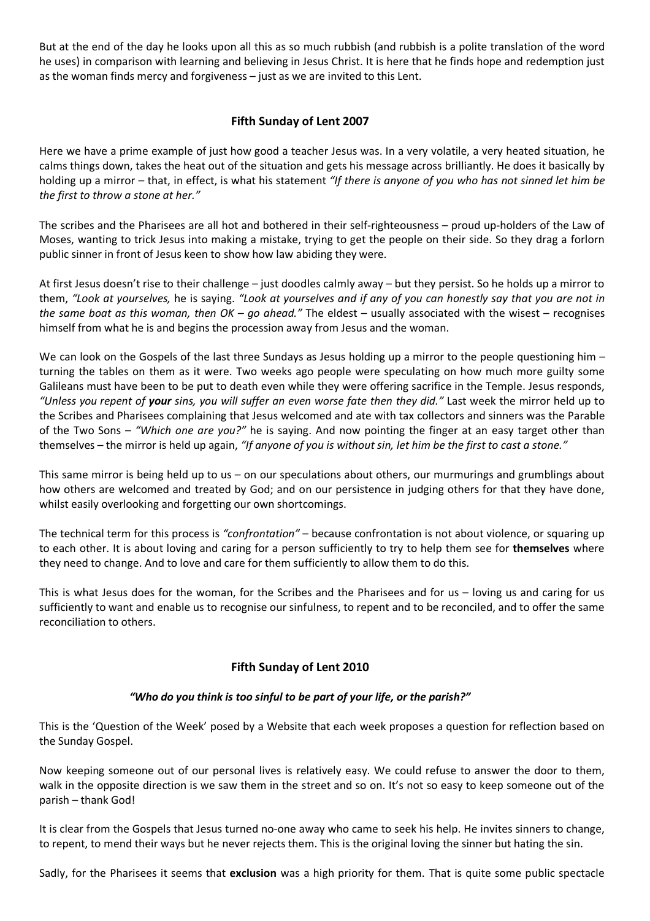But at the end of the day he looks upon all this as so much rubbish (and rubbish is a polite translation of the word he uses) in comparison with learning and believing in Jesus Christ. It is here that he finds hope and redemption just as the woman finds mercy and forgiveness – just as we are invited to this Lent.

# **Fifth Sunday of Lent 2007**

Here we have a prime example of just how good a teacher Jesus was. In a very volatile, a very heated situation, he calms things down, takes the heat out of the situation and gets his message across brilliantly. He does it basically by holding up a mirror – that, in effect, is what his statement *"If there is anyone of you who has not sinned let him be the first to throw a stone at her."*

The scribes and the Pharisees are all hot and bothered in their self-righteousness – proud up-holders of the Law of Moses, wanting to trick Jesus into making a mistake, trying to get the people on their side. So they drag a forlorn public sinner in front of Jesus keen to show how law abiding they were.

At first Jesus doesn't rise to their challenge – just doodles calmly away – but they persist. So he holds up a mirror to them, *"Look at yourselves,* he is saying. *"Look at yourselves and if any of you can honestly say that you are not in the same boat as this woman, then OK – go ahead."* The eldest – usually associated with the wisest – recognises himself from what he is and begins the procession away from Jesus and the woman.

We can look on the Gospels of the last three Sundays as Jesus holding up a mirror to the people questioning him turning the tables on them as it were. Two weeks ago people were speculating on how much more guilty some Galileans must have been to be put to death even while they were offering sacrifice in the Temple. Jesus responds, *"Unless you repent of your sins, you will suffer an even worse fate then they did."* Last week the mirror held up to the Scribes and Pharisees complaining that Jesus welcomed and ate with tax collectors and sinners was the Parable of the Two Sons – *"Which one are you?"* he is saying. And now pointing the finger at an easy target other than themselves – the mirror is held up again, *"If anyone of you is without sin, let him be the first to cast a stone."*

This same mirror is being held up to us – on our speculations about others, our murmurings and grumblings about how others are welcomed and treated by God; and on our persistence in judging others for that they have done, whilst easily overlooking and forgetting our own shortcomings.

The technical term for this process is *"confrontation"* – because confrontation is not about violence, or squaring up to each other. It is about loving and caring for a person sufficiently to try to help them see for **themselves** where they need to change. And to love and care for them sufficiently to allow them to do this.

This is what Jesus does for the woman, for the Scribes and the Pharisees and for us – loving us and caring for us sufficiently to want and enable us to recognise our sinfulness, to repent and to be reconciled, and to offer the same reconciliation to others.

# **Fifth Sunday of Lent 2010**

## *"Who do you think is too sinful to be part of your life, or the parish?"*

This is the 'Question of the Week' posed by a Website that each week proposes a question for reflection based on the Sunday Gospel.

Now keeping someone out of our personal lives is relatively easy. We could refuse to answer the door to them, walk in the opposite direction is we saw them in the street and so on. It's not so easy to keep someone out of the parish – thank God!

It is clear from the Gospels that Jesus turned no-one away who came to seek his help. He invites sinners to change, to repent, to mend their ways but he never rejects them. This is the original loving the sinner but hating the sin.

Sadly, for the Pharisees it seems that **exclusion** was a high priority for them. That is quite some public spectacle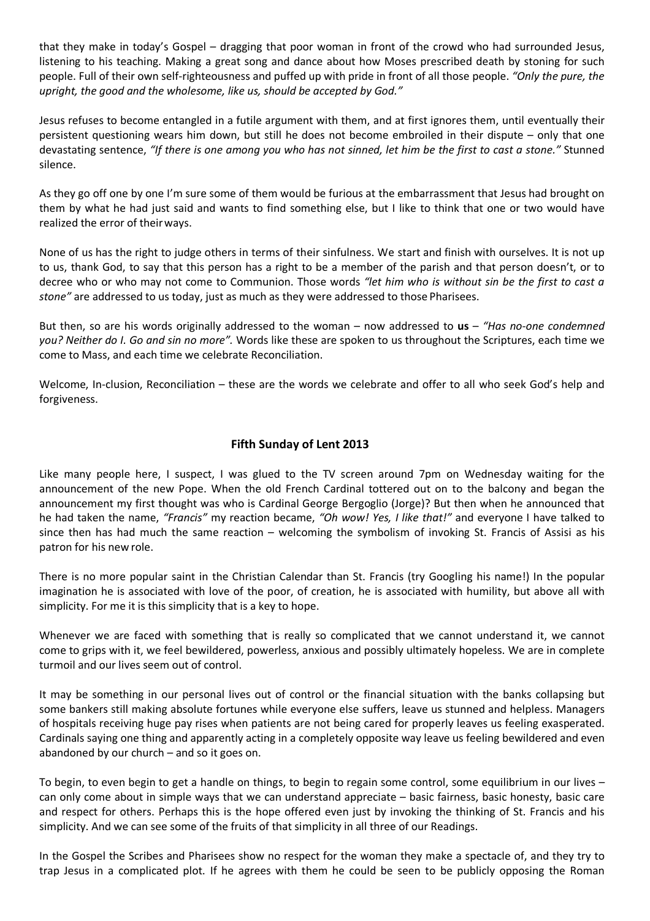that they make in today's Gospel – dragging that poor woman in front of the crowd who had surrounded Jesus, listening to his teaching. Making a great song and dance about how Moses prescribed death by stoning for such people. Full of their own self-righteousness and puffed up with pride in front of all those people. *"Only the pure, the upright, the good and the wholesome, like us, should be accepted by God."*

Jesus refuses to become entangled in a futile argument with them, and at first ignores them, until eventually their persistent questioning wears him down, but still he does not become embroiled in their dispute – only that one devastating sentence, *"If there is one among you who has not sinned, let him be the first to cast a stone."* Stunned silence.

As they go off one by one I'm sure some of them would be furious at the embarrassment that Jesus had brought on them by what he had just said and wants to find something else, but I like to think that one or two would have realized the error of theirways.

None of us has the right to judge others in terms of their sinfulness. We start and finish with ourselves. It is not up to us, thank God, to say that this person has a right to be a member of the parish and that person doesn't, or to decree who or who may not come to Communion. Those words *"let him who is without sin be the first to cast a stone"* are addressed to us today, just as much as they were addressed to those Pharisees.

But then, so are his words originally addressed to the woman – now addressed to **us** – *"Has no-one condemned you? Neither do I. Go and sin no more".* Words like these are spoken to us throughout the Scriptures, each time we come to Mass, and each time we celebrate Reconciliation.

Welcome, In-clusion, Reconciliation – these are the words we celebrate and offer to all who seek God's help and forgiveness.

# **Fifth Sunday of Lent 2013**

Like many people here, I suspect, I was glued to the TV screen around 7pm on Wednesday waiting for the announcement of the new Pope. When the old French Cardinal tottered out on to the balcony and began the announcement my first thought was who is Cardinal George Bergoglio (Jorge)? But then when he announced that he had taken the name, *"Francis"* my reaction became, *"Oh wow! Yes, I like that!"* and everyone I have talked to since then has had much the same reaction – welcoming the symbolism of invoking St. Francis of Assisi as his patron for his new role.

There is no more popular saint in the Christian Calendar than St. Francis (try Googling his name!) In the popular imagination he is associated with love of the poor, of creation, he is associated with humility, but above all with simplicity. For me it is this simplicity that is a key to hope.

Whenever we are faced with something that is really so complicated that we cannot understand it, we cannot come to grips with it, we feel bewildered, powerless, anxious and possibly ultimately hopeless. We are in complete turmoil and our lives seem out of control.

It may be something in our personal lives out of control or the financial situation with the banks collapsing but some bankers still making absolute fortunes while everyone else suffers, leave us stunned and helpless. Managers of hospitals receiving huge pay rises when patients are not being cared for properly leaves us feeling exasperated. Cardinals saying one thing and apparently acting in a completely opposite way leave us feeling bewildered and even abandoned by our church – and so it goes on.

To begin, to even begin to get a handle on things, to begin to regain some control, some equilibrium in our lives – can only come about in simple ways that we can understand appreciate – basic fairness, basic honesty, basic care and respect for others. Perhaps this is the hope offered even just by invoking the thinking of St. Francis and his simplicity. And we can see some of the fruits of that simplicity in all three of our Readings.

In the Gospel the Scribes and Pharisees show no respect for the woman they make a spectacle of, and they try to trap Jesus in a complicated plot. If he agrees with them he could be seen to be publicly opposing the Roman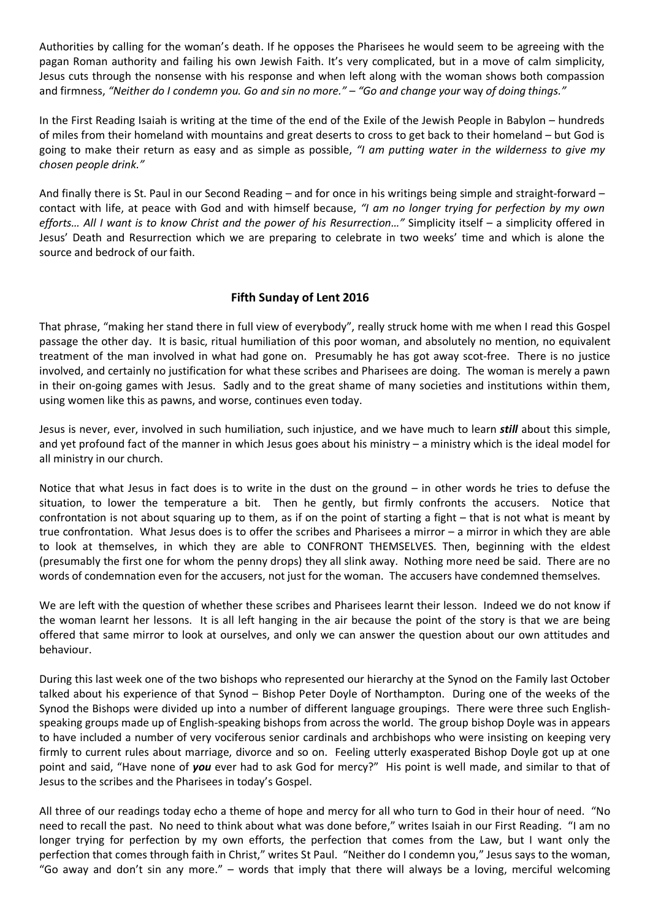Authorities by calling for the woman's death. If he opposes the Pharisees he would seem to be agreeing with the pagan Roman authority and failing his own Jewish Faith. It's very complicated, but in a move of calm simplicity, Jesus cuts through the nonsense with his response and when left along with the woman shows both compassion and firmness, *"Neither do I condemn you. Go and sin no more." – "Go and change your* way *of doing things."*

In the First Reading Isaiah is writing at the time of the end of the Exile of the Jewish People in Babylon – hundreds of miles from their homeland with mountains and great deserts to cross to get back to their homeland – but God is going to make their return as easy and as simple as possible, *"I am putting water in the wilderness to give my chosen people drink."*

And finally there is St. Paul in our Second Reading – and for once in his writings being simple and straight-forward – contact with life, at peace with God and with himself because, *"I am no longer trying for perfection by my own efforts… All I want is to know Christ and the power of his Resurrection…"* Simplicity itself – a simplicity offered in Jesus' Death and Resurrection which we are preparing to celebrate in two weeks' time and which is alone the source and bedrock of our faith.

#### **Fifth Sunday of Lent 2016**

That phrase, "making her stand there in full view of everybody", really struck home with me when I read this Gospel passage the other day. It is basic, ritual humiliation of this poor woman, and absolutely no mention, no equivalent treatment of the man involved in what had gone on. Presumably he has got away scot-free. There is no justice involved, and certainly no justification for what these scribes and Pharisees are doing. The woman is merely a pawn in their on-going games with Jesus. Sadly and to the great shame of many societies and institutions within them, using women like this as pawns, and worse, continues even today.

Jesus is never, ever, involved in such humiliation, such injustice, and we have much to learn *still* about this simple, and yet profound fact of the manner in which Jesus goes about his ministry – a ministry which is the ideal model for all ministry in our church.

Notice that what Jesus in fact does is to write in the dust on the ground – in other words he tries to defuse the situation, to lower the temperature a bit. Then he gently, but firmly confronts the accusers. Notice that confrontation is not about squaring up to them, as if on the point of starting a fight – that is not what is meant by true confrontation. What Jesus does is to offer the scribes and Pharisees a mirror – a mirror in which they are able to look at themselves, in which they are able to CONFRONT THEMSELVES. Then, beginning with the eldest (presumably the first one for whom the penny drops) they all slink away. Nothing more need be said. There are no words of condemnation even for the accusers, not just for the woman. The accusers have condemned themselves.

We are left with the question of whether these scribes and Pharisees learnt their lesson. Indeed we do not know if the woman learnt her lessons. It is all left hanging in the air because the point of the story is that we are being offered that same mirror to look at ourselves, and only we can answer the question about our own attitudes and behaviour.

During this last week one of the two bishops who represented our hierarchy at the Synod on the Family last October talked about his experience of that Synod – Bishop Peter Doyle of Northampton. During one of the weeks of the Synod the Bishops were divided up into a number of different language groupings. There were three such Englishspeaking groups made up of English-speaking bishops from across the world. The group bishop Doyle was in appears to have included a number of very vociferous senior cardinals and archbishops who were insisting on keeping very firmly to current rules about marriage, divorce and so on. Feeling utterly exasperated Bishop Doyle got up at one point and said, "Have none of *you* ever had to ask God for mercy?" His point is well made, and similar to that of Jesus to the scribes and the Pharisees in today's Gospel.

All three of our readings today echo a theme of hope and mercy for all who turn to God in their hour of need. "No need to recall the past. No need to think about what was done before," writes Isaiah in our First Reading. "I am no longer trying for perfection by my own efforts, the perfection that comes from the Law, but I want only the perfection that comes through faith in Christ," writes St Paul. "Neither do I condemn you," Jesus says to the woman, "Go away and don't sin any more." – words that imply that there will always be a loving, merciful welcoming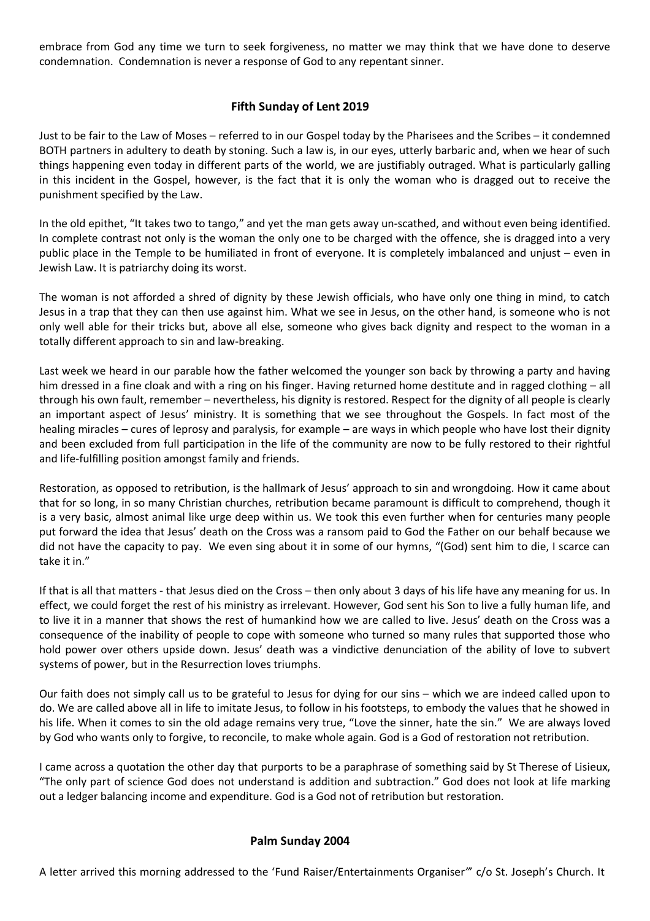embrace from God any time we turn to seek forgiveness, no matter we may think that we have done to deserve condemnation. Condemnation is never a response of God to any repentant sinner.

# **Fifth Sunday of Lent 2019**

Just to be fair to the Law of Moses – referred to in our Gospel today by the Pharisees and the Scribes – it condemned BOTH partners in adultery to death by stoning. Such a law is, in our eyes, utterly barbaric and, when we hear of such things happening even today in different parts of the world, we are justifiably outraged. What is particularly galling in this incident in the Gospel, however, is the fact that it is only the woman who is dragged out to receive the punishment specified by the Law.

In the old epithet, "It takes two to tango," and yet the man gets away un-scathed, and without even being identified. In complete contrast not only is the woman the only one to be charged with the offence, she is dragged into a very public place in the Temple to be humiliated in front of everyone. It is completely imbalanced and unjust – even in Jewish Law. It is patriarchy doing its worst.

The woman is not afforded a shred of dignity by these Jewish officials, who have only one thing in mind, to catch Jesus in a trap that they can then use against him. What we see in Jesus, on the other hand, is someone who is not only well able for their tricks but, above all else, someone who gives back dignity and respect to the woman in a totally different approach to sin and law-breaking.

Last week we heard in our parable how the father welcomed the younger son back by throwing a party and having him dressed in a fine cloak and with a ring on his finger. Having returned home destitute and in ragged clothing – all through his own fault, remember – nevertheless, his dignity is restored. Respect for the dignity of all people is clearly an important aspect of Jesus' ministry. It is something that we see throughout the Gospels. In fact most of the healing miracles – cures of leprosy and paralysis, for example – are ways in which people who have lost their dignity and been excluded from full participation in the life of the community are now to be fully restored to their rightful and life-fulfilling position amongst family and friends.

Restoration, as opposed to retribution, is the hallmark of Jesus' approach to sin and wrongdoing. How it came about that for so long, in so many Christian churches, retribution became paramount is difficult to comprehend, though it is a very basic, almost animal like urge deep within us. We took this even further when for centuries many people put forward the idea that Jesus' death on the Cross was a ransom paid to God the Father on our behalf because we did not have the capacity to pay. We even sing about it in some of our hymns, "(God) sent him to die, I scarce can take it in."

If that is all that matters - that Jesus died on the Cross – then only about 3 days of his life have any meaning for us. In effect, we could forget the rest of his ministry as irrelevant. However, God sent his Son to live a fully human life, and to live it in a manner that shows the rest of humankind how we are called to live. Jesus' death on the Cross was a consequence of the inability of people to cope with someone who turned so many rules that supported those who hold power over others upside down. Jesus' death was a vindictive denunciation of the ability of love to subvert systems of power, but in the Resurrection loves triumphs.

Our faith does not simply call us to be grateful to Jesus for dying for our sins – which we are indeed called upon to do. We are called above all in life to imitate Jesus, to follow in his footsteps, to embody the values that he showed in his life. When it comes to sin the old adage remains very true, "Love the sinner, hate the sin." We are always loved by God who wants only to forgive, to reconcile, to make whole again. God is a God of restoration not retribution.

I came across a quotation the other day that purports to be a paraphrase of something said by St Therese of Lisieux, "The only part of science God does not understand is addition and subtraction." God does not look at life marking out a ledger balancing income and expenditure. God is a God not of retribution but restoration.

## **Palm Sunday 2004**

A letter arrived this morning addressed to the 'Fund Raiser/Entertainments Organiser*"*' c/o St. Joseph's Church. It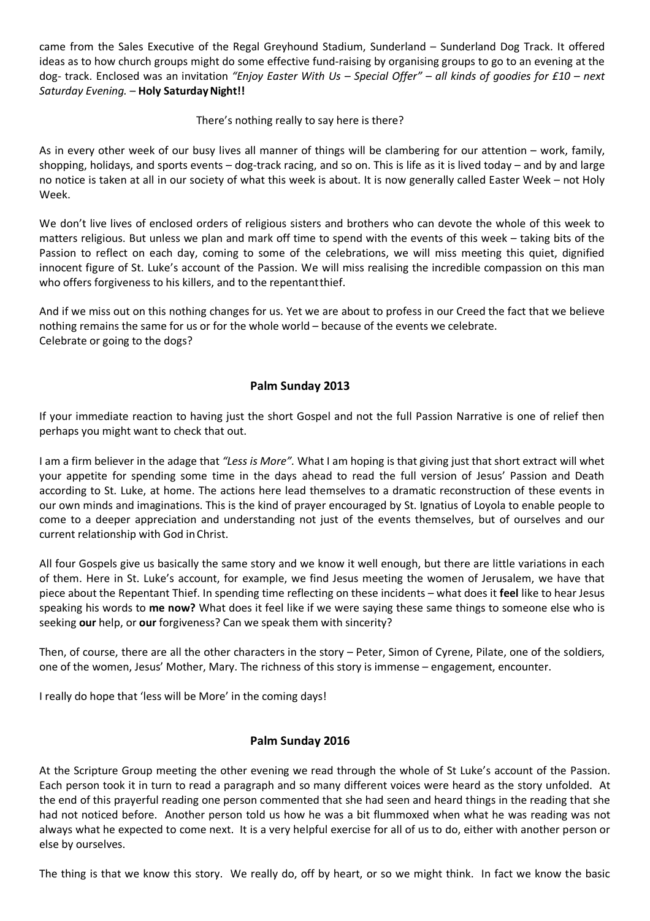came from the Sales Executive of the Regal Greyhound Stadium, Sunderland – Sunderland Dog Track. It offered ideas as to how church groups might do some effective fund-raising by organising groups to go to an evening at the dog- track. Enclosed was an invitation *"Enjoy Easter With Us – Special Offer"* – *all kinds of goodies for £10 – next*  **Saturday Evening. - Holy Saturday Night!!** 

#### There's nothing really to say here is there?

As in every other week of our busy lives all manner of things will be clambering for our attention – work, family, shopping, holidays, and sports events – dog-track racing, and so on. This is life as it is lived today – and by and large no notice is taken at all in our society of what this week is about. It is now generally called Easter Week – not Holy Week.

We don't live lives of enclosed orders of religious sisters and brothers who can devote the whole of this week to matters religious. But unless we plan and mark off time to spend with the events of this week – taking bits of the Passion to reflect on each day, coming to some of the celebrations, we will miss meeting this quiet, dignified innocent figure of St. Luke's account of the Passion. We will miss realising the incredible compassion on this man who offers forgiveness to his killers, and to the repentantthief.

And if we miss out on this nothing changes for us. Yet we are about to profess in our Creed the fact that we believe nothing remains the same for us or for the whole world – because of the events we celebrate. Celebrate or going to the dogs?

## **Palm Sunday 2013**

If your immediate reaction to having just the short Gospel and not the full Passion Narrative is one of relief then perhaps you might want to check that out.

I am a firm believer in the adage that *"Less is More".* What I am hoping is that giving just that short extract will whet your appetite for spending some time in the days ahead to read the full version of Jesus' Passion and Death according to St. Luke, at home. The actions here lead themselves to a dramatic reconstruction of these events in our own minds and imaginations. This is the kind of prayer encouraged by St. Ignatius of Loyola to enable people to come to a deeper appreciation and understanding not just of the events themselves, but of ourselves and our current relationship with God inChrist.

All four Gospels give us basically the same story and we know it well enough, but there are little variations in each of them. Here in St. Luke's account, for example, we find Jesus meeting the women of Jerusalem, we have that piece about the Repentant Thief. In spending time reflecting on these incidents – what does it **feel** like to hear Jesus speaking his words to **me now?** What does it feel like if we were saying these same things to someone else who is seeking **our** help, or **our** forgiveness? Can we speak them with sincerity?

Then, of course, there are all the other characters in the story – Peter, Simon of Cyrene, Pilate, one of the soldiers, one of the women, Jesus' Mother, Mary. The richness of this story is immense – engagement, encounter.

I really do hope that 'less will be More' in the coming days!

## **Palm Sunday 2016**

At the Scripture Group meeting the other evening we read through the whole of St Luke's account of the Passion. Each person took it in turn to read a paragraph and so many different voices were heard as the story unfolded. At the end of this prayerful reading one person commented that she had seen and heard things in the reading that she had not noticed before. Another person told us how he was a bit flummoxed when what he was reading was not always what he expected to come next. It is a very helpful exercise for all of us to do, either with another person or else by ourselves.

The thing is that we know this story. We really do, off by heart, or so we might think. In fact we know the basic